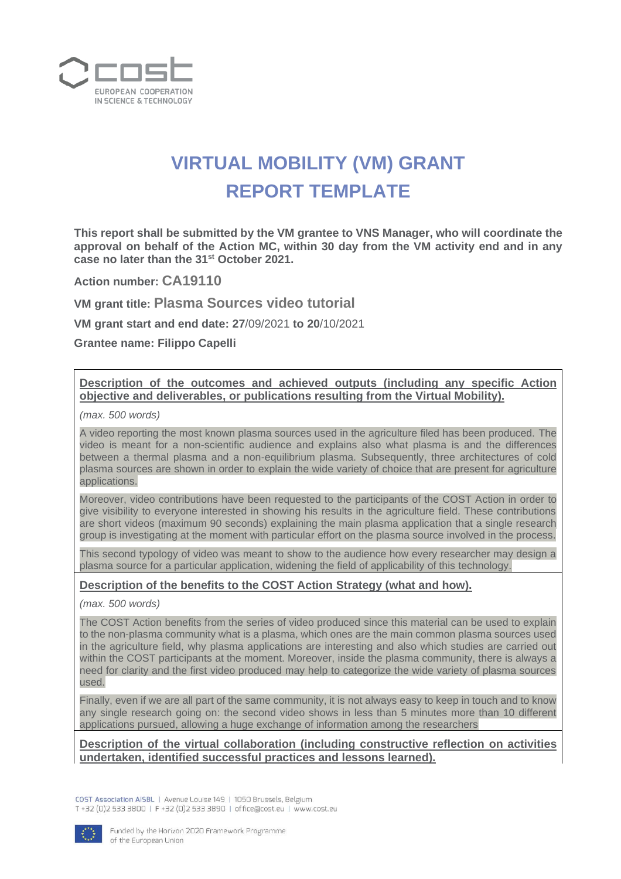

## **VIRTUAL MOBILITY (VM) GRANT REPORT TEMPLATE**

**This report shall be submitted by the VM grantee to VNS Manager, who will coordinate the approval on behalf of the Action MC, within 30 day from the VM activity end and in any case no later than the 31st October 2021.**

**Action number: CA19110**

**VM grant title: Plasma Sources video tutorial**

**VM grant start and end date: 27**/09/2021 **to 20**/10/2021

**Grantee name: Filippo Capelli**

## **Description of the outcomes and achieved outputs (including any specific Action objective and deliverables, or publications resulting from the Virtual Mobility).**

*(max. 500 words)* 

A video reporting the most known plasma sources used in the agriculture filed has been produced. The video is meant for a non-scientific audience and explains also what plasma is and the differences between a thermal plasma and a non-equilibrium plasma. Subsequently, three architectures of cold plasma sources are shown in order to explain the wide variety of choice that are present for agriculture applications.

Moreover, video contributions have been requested to the participants of the COST Action in order to give visibility to everyone interested in showing his results in the agriculture field. These contributions are short videos (maximum 90 seconds) explaining the main plasma application that a single research group is investigating at the moment with particular effort on the plasma source involved in the process.

This second typology of video was meant to show to the audience how every researcher may design a plasma source for a particular application, widening the field of applicability of this technology.

## **Description of the benefits to the COST Action Strategy (what and how).**

*(max. 500 words)* 

The COST Action benefits from the series of video produced since this material can be used to explain to the non-plasma community what is a plasma, which ones are the main common plasma sources used in the agriculture field, why plasma applications are interesting and also which studies are carried out within the COST participants at the moment. Moreover, inside the plasma community, there is always a need for clarity and the first video produced may help to categorize the wide variety of plasma sources used.

Finally, even if we are all part of the same community, it is not always easy to keep in touch and to know any single research going on: the second video shows in less than 5 minutes more than 10 different applications pursued, allowing a huge exchange of information among the researchers

**Description of the virtual collaboration (including constructive reflection on activities undertaken, identified successful practices and lessons learned).**

COST Association AISBL | Avenue Louise 149 | 1050 Brussels, Belgium T+32 (0)2 533 3800 | F+32 (0)2 533 3890 | office@cost.eu | www.cost.eu